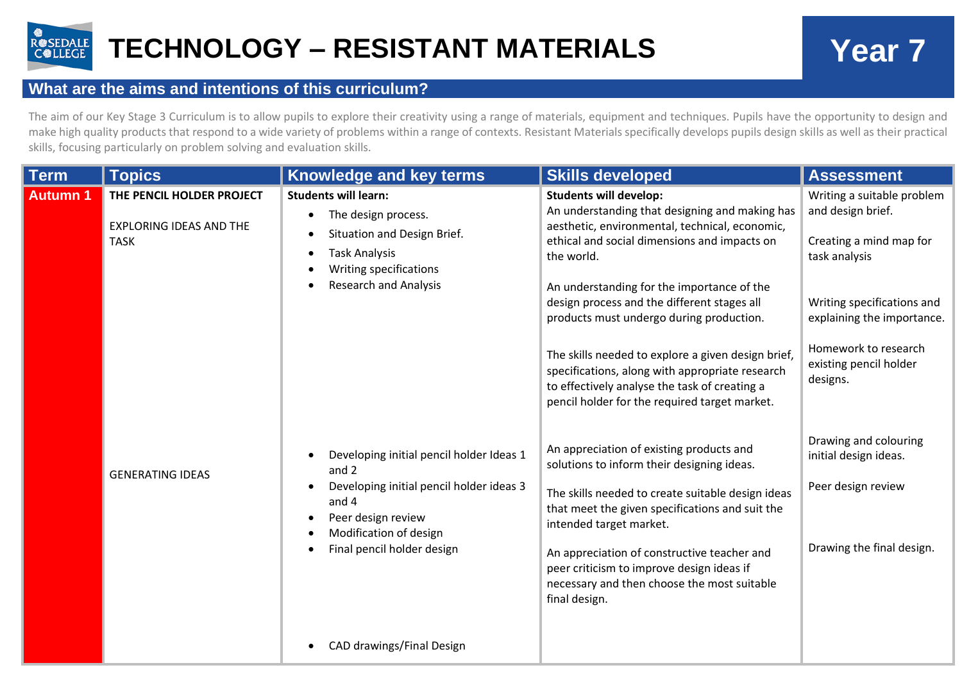

## **What are the aims and intentions of this curriculum?**

The aim of our Key Stage 3 Curriculum is to allow pupils to explore their creativity using a range of materials, equipment and techniques. Pupils have the opportunity to design and make high quality products that respond to a wide variety of problems within a range of contexts. Resistant Materials specifically develops pupils design skills as well as their practical skills, focusing particularly on problem solving and evaluation skills.

| Term            | <b>Topics</b>                                                              | <b>Knowledge and key terms</b>                                                                                                                                                       | <b>Skills developed</b>                                                                                                                                                                                                                                                                                                                                                                                                                                                                                                                             | <b>Assessment</b>                                                                                                                                                                                                     |
|-----------------|----------------------------------------------------------------------------|--------------------------------------------------------------------------------------------------------------------------------------------------------------------------------------|-----------------------------------------------------------------------------------------------------------------------------------------------------------------------------------------------------------------------------------------------------------------------------------------------------------------------------------------------------------------------------------------------------------------------------------------------------------------------------------------------------------------------------------------------------|-----------------------------------------------------------------------------------------------------------------------------------------------------------------------------------------------------------------------|
| <b>Autumn 1</b> | THE PENCIL HOLDER PROJECT<br><b>EXPLORING IDEAS AND THE</b><br><b>TASK</b> | <b>Students will learn:</b><br>The design process.<br>$\bullet$<br>Situation and Design Brief.<br><b>Task Analysis</b><br>Writing specifications<br><b>Research and Analysis</b>     | <b>Students will develop:</b><br>An understanding that designing and making has<br>aesthetic, environmental, technical, economic,<br>ethical and social dimensions and impacts on<br>the world.<br>An understanding for the importance of the<br>design process and the different stages all<br>products must undergo during production.<br>The skills needed to explore a given design brief,<br>specifications, along with appropriate research<br>to effectively analyse the task of creating a<br>pencil holder for the required target market. | Writing a suitable problem<br>and design brief.<br>Creating a mind map for<br>task analysis<br>Writing specifications and<br>explaining the importance.<br>Homework to research<br>existing pencil holder<br>designs. |
|                 | <b>GENERATING IDEAS</b>                                                    | Developing initial pencil holder Ideas 1<br>and 2<br>Developing initial pencil holder ideas 3<br>and 4<br>Peer design review<br>Modification of design<br>Final pencil holder design | An appreciation of existing products and<br>solutions to inform their designing ideas.<br>The skills needed to create suitable design ideas<br>that meet the given specifications and suit the<br>intended target market.<br>An appreciation of constructive teacher and<br>peer criticism to improve design ideas if<br>necessary and then choose the most suitable<br>final design.                                                                                                                                                               | Drawing and colouring<br>initial design ideas.<br>Peer design review<br>Drawing the final design.                                                                                                                     |
|                 |                                                                            | CAD drawings/Final Design                                                                                                                                                            |                                                                                                                                                                                                                                                                                                                                                                                                                                                                                                                                                     |                                                                                                                                                                                                                       |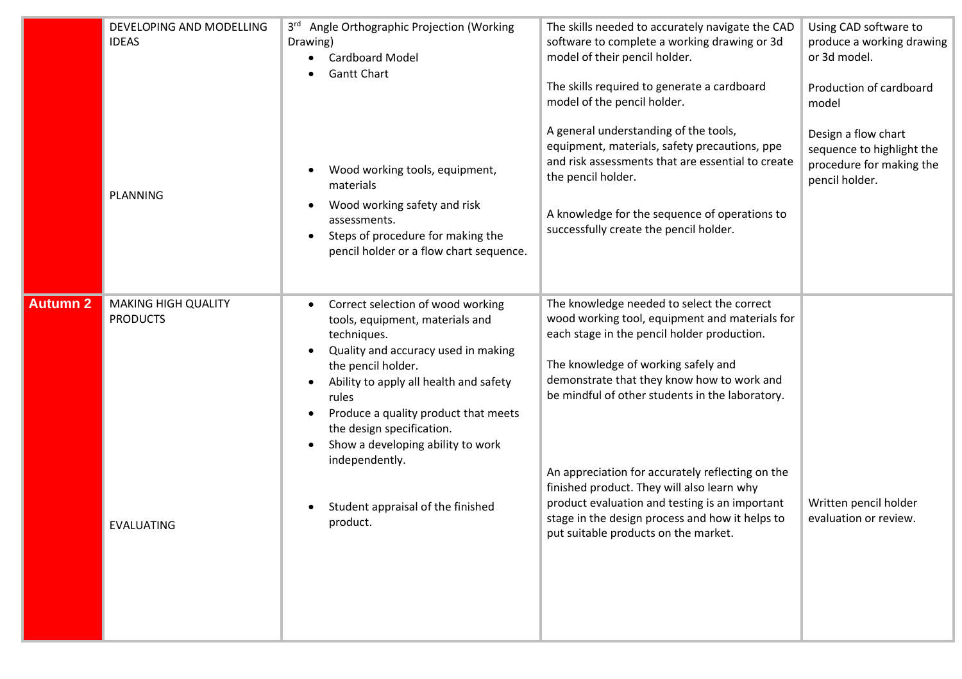|                 | DEVELOPING AND MODELLING<br><b>IDEAS</b><br><b>PLANNING</b> | 3rd Angle Orthographic Projection (Working<br>Drawing)<br><b>Cardboard Model</b><br><b>Gantt Chart</b><br>Wood working tools, equipment,<br>materials<br>Wood working safety and risk<br>assessments.<br>Steps of procedure for making the<br>pencil holder or a flow chart sequence.                                                                                                         | The skills needed to accurately navigate the CAD<br>software to complete a working drawing or 3d<br>model of their pencil holder.<br>The skills required to generate a cardboard<br>model of the pencil holder.<br>A general understanding of the tools,<br>equipment, materials, safety precautions, ppe<br>and risk assessments that are essential to create<br>the pencil holder.<br>A knowledge for the sequence of operations to<br>successfully create the pencil holder.                                                    | Using CAD software to<br>produce a working drawing<br>or 3d model.<br>Production of cardboard<br>model<br>Design a flow chart<br>sequence to highlight the<br>procedure for making the<br>pencil holder. |
|-----------------|-------------------------------------------------------------|-----------------------------------------------------------------------------------------------------------------------------------------------------------------------------------------------------------------------------------------------------------------------------------------------------------------------------------------------------------------------------------------------|------------------------------------------------------------------------------------------------------------------------------------------------------------------------------------------------------------------------------------------------------------------------------------------------------------------------------------------------------------------------------------------------------------------------------------------------------------------------------------------------------------------------------------|----------------------------------------------------------------------------------------------------------------------------------------------------------------------------------------------------------|
| <b>Autumn 2</b> | <b>MAKING HIGH QUALITY</b><br><b>PRODUCTS</b><br>EVALUATING | Correct selection of wood working<br>tools, equipment, materials and<br>techniques.<br>Quality and accuracy used in making<br>$\bullet$<br>the pencil holder.<br>Ability to apply all health and safety<br>rules<br>Produce a quality product that meets<br>the design specification.<br>Show a developing ability to work<br>independently.<br>Student appraisal of the finished<br>product. | The knowledge needed to select the correct<br>wood working tool, equipment and materials for<br>each stage in the pencil holder production.<br>The knowledge of working safely and<br>demonstrate that they know how to work and<br>be mindful of other students in the laboratory.<br>An appreciation for accurately reflecting on the<br>finished product. They will also learn why<br>product evaluation and testing is an important<br>stage in the design process and how it helps to<br>put suitable products on the market. | Written pencil holder<br>evaluation or review.                                                                                                                                                           |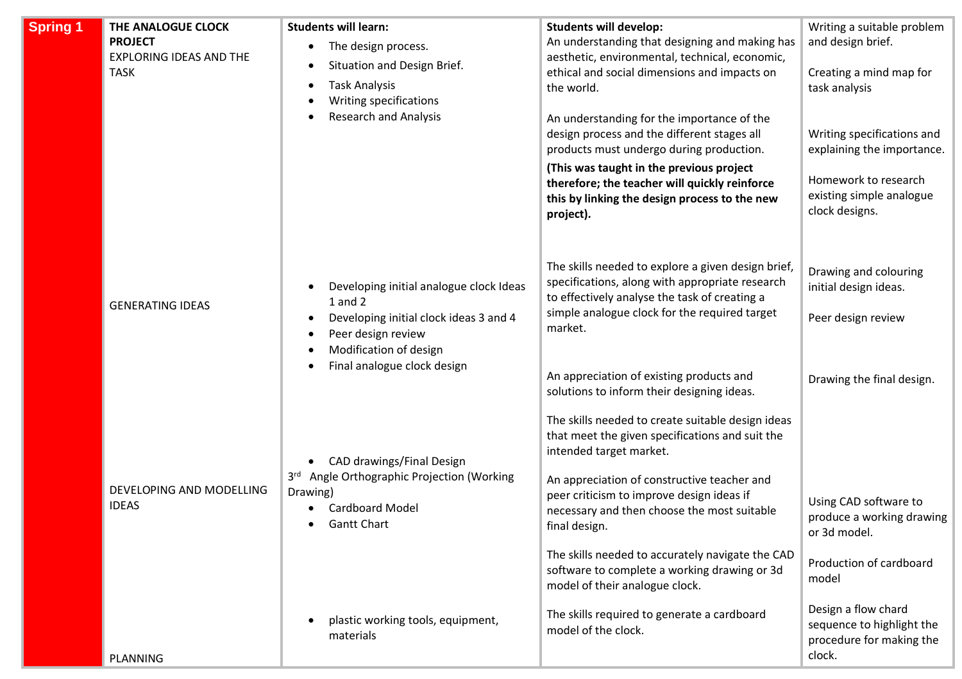| <b>Spring 1</b> | THE ANALOGUE CLOCK<br><b>PROJECT</b><br><b>EXPLORING IDEAS AND THE</b><br><b>TASK</b> | <b>Students will learn:</b><br>The design process.<br>Situation and Design Brief.<br><b>Task Analysis</b><br>Writing specifications<br>Research and Analysis                                 | <b>Students will develop:</b><br>An understanding that designing and making has<br>aesthetic, environmental, technical, economic,<br>ethical and social dimensions and impacts on<br>the world.<br>An understanding for the importance of the<br>design process and the different stages all<br>products must undergo during production.<br>(This was taught in the previous project<br>therefore; the teacher will quickly reinforce<br>this by linking the design process to the new<br>project).                            | Writing a suitable problem<br>and design brief.<br>Creating a mind map for<br>task analysis<br>Writing specifications and<br>explaining the importance.<br>Homework to research<br>existing simple analogue<br>clock designs. |
|-----------------|---------------------------------------------------------------------------------------|----------------------------------------------------------------------------------------------------------------------------------------------------------------------------------------------|--------------------------------------------------------------------------------------------------------------------------------------------------------------------------------------------------------------------------------------------------------------------------------------------------------------------------------------------------------------------------------------------------------------------------------------------------------------------------------------------------------------------------------|-------------------------------------------------------------------------------------------------------------------------------------------------------------------------------------------------------------------------------|
|                 | <b>GENERATING IDEAS</b>                                                               | Developing initial analogue clock Ideas<br>$\bullet$<br>$1$ and $2$<br>Developing initial clock ideas 3 and 4<br>Peer design review<br>Modification of design<br>Final analogue clock design | The skills needed to explore a given design brief,<br>specifications, along with appropriate research<br>to effectively analyse the task of creating a<br>simple analogue clock for the required target<br>market.<br>An appreciation of existing products and                                                                                                                                                                                                                                                                 | Drawing and colouring<br>initial design ideas.<br>Peer design review<br>Drawing the final design.                                                                                                                             |
|                 | DEVELOPING AND MODELLING<br><b>IDEAS</b>                                              | CAD drawings/Final Design<br>Angle Orthographic Projection (Working<br>3 <sup>rd</sup><br>Drawing)<br><b>Cardboard Model</b><br><b>Gantt Chart</b><br>plastic working tools, equipment,      | solutions to inform their designing ideas.<br>The skills needed to create suitable design ideas<br>that meet the given specifications and suit the<br>intended target market.<br>An appreciation of constructive teacher and<br>peer criticism to improve design ideas if<br>necessary and then choose the most suitable<br>final design.<br>The skills needed to accurately navigate the CAD<br>software to complete a working drawing or 3d<br>model of their analogue clock.<br>The skills required to generate a cardboard | Using CAD software to<br>produce a working drawing<br>or 3d model.<br>Production of cardboard<br>model<br>Design a flow chard<br>sequence to highlight the                                                                    |
|                 | <b>PLANNING</b>                                                                       | materials                                                                                                                                                                                    | model of the clock.                                                                                                                                                                                                                                                                                                                                                                                                                                                                                                            | procedure for making the<br>clock.                                                                                                                                                                                            |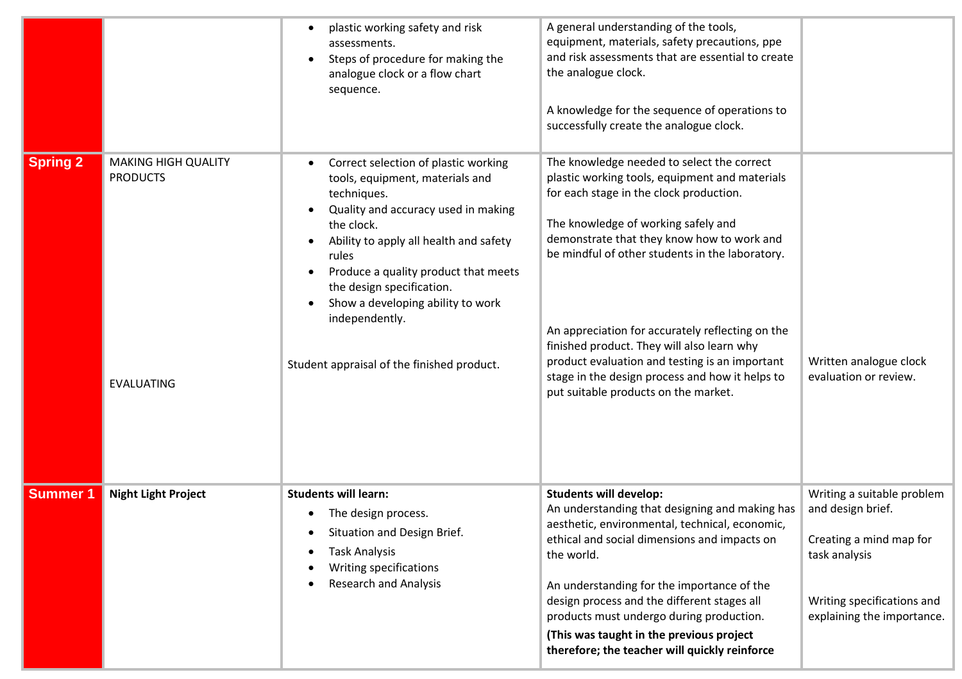|                 |                                                                    | plastic working safety and risk<br>assessments.<br>Steps of procedure for making the<br>analogue clock or a flow chart<br>sequence.                                                                                                                                                                                                                                                                | A general understanding of the tools,<br>equipment, materials, safety precautions, ppe<br>and risk assessments that are essential to create<br>the analogue clock.<br>A knowledge for the sequence of operations to<br>successfully create the analogue clock.                                                                                                                                                                                                                                                                 |                                                                                                                                                         |
|-----------------|--------------------------------------------------------------------|----------------------------------------------------------------------------------------------------------------------------------------------------------------------------------------------------------------------------------------------------------------------------------------------------------------------------------------------------------------------------------------------------|--------------------------------------------------------------------------------------------------------------------------------------------------------------------------------------------------------------------------------------------------------------------------------------------------------------------------------------------------------------------------------------------------------------------------------------------------------------------------------------------------------------------------------|---------------------------------------------------------------------------------------------------------------------------------------------------------|
| <b>Spring 2</b> | <b>MAKING HIGH QUALITY</b><br><b>PRODUCTS</b><br><b>EVALUATING</b> | Correct selection of plastic working<br>$\bullet$<br>tools, equipment, materials and<br>techniques.<br>Quality and accuracy used in making<br>the clock.<br>Ability to apply all health and safety<br>rules<br>Produce a quality product that meets<br>$\bullet$<br>the design specification.<br>Show a developing ability to work<br>independently.<br>Student appraisal of the finished product. | The knowledge needed to select the correct<br>plastic working tools, equipment and materials<br>for each stage in the clock production.<br>The knowledge of working safely and<br>demonstrate that they know how to work and<br>be mindful of other students in the laboratory.<br>An appreciation for accurately reflecting on the<br>finished product. They will also learn why<br>product evaluation and testing is an important<br>stage in the design process and how it helps to<br>put suitable products on the market. | Written analogue clock<br>evaluation or review.                                                                                                         |
| <b>Summer 1</b> | <b>Night Light Project</b>                                         | <b>Students will learn:</b><br>The design process.<br>٠<br>Situation and Design Brief.<br><b>Task Analysis</b><br>Writing specifications<br><b>Research and Analysis</b>                                                                                                                                                                                                                           | <b>Students will develop:</b><br>An understanding that designing and making has<br>aesthetic, environmental, technical, economic,<br>ethical and social dimensions and impacts on<br>the world.<br>An understanding for the importance of the<br>design process and the different stages all<br>products must undergo during production.<br>(This was taught in the previous project<br>therefore; the teacher will quickly reinforce                                                                                          | Writing a suitable problem<br>and design brief.<br>Creating a mind map for<br>task analysis<br>Writing specifications and<br>explaining the importance. |